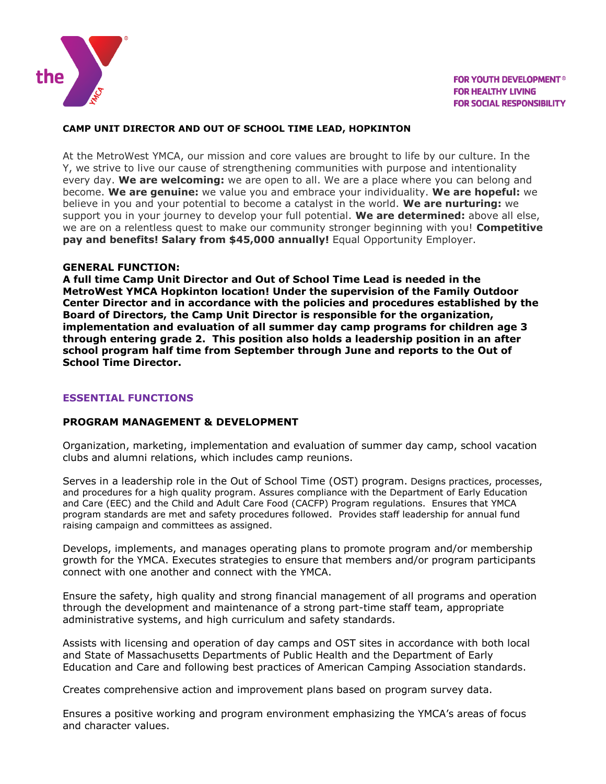

## **CAMP UNIT DIRECTOR AND OUT OF SCHOOL TIME LEAD, HOPKINTON**

At the MetroWest YMCA, our mission and core values are brought to life by our culture. In the Y, we strive to live our cause of strengthening communities with purpose and intentionality every day. **We are welcoming:** we are open to all. We are a place where you can belong and become. **We are genuine:** we value you and embrace your individuality. **We are hopeful:** we believe in you and your potential to become a catalyst in the world. **We are nurturing:** we support you in your journey to develop your full potential. **We are determined:** above all else, we are on a relentless quest to make our community stronger beginning with you! **Competitive pay and benefits! Salary from \$45,000 annually!** Equal Opportunity Employer.

### **GENERAL FUNCTION:**

**A full time Camp Unit Director and Out of School Time Lead is needed in the MetroWest YMCA Hopkinton location! Under the supervision of the Family Outdoor Center Director and in accordance with the policies and procedures established by the Board of Directors, the Camp Unit Director is responsible for the organization, implementation and evaluation of all summer day camp programs for children age 3 through entering grade 2. This position also holds a leadership position in an after school program half time from September through June and reports to the Out of School Time Director.**

## **ESSENTIAL FUNCTIONS**

# **PROGRAM MANAGEMENT & DEVELOPMENT**

Organization, marketing, implementation and evaluation of summer day camp, school vacation clubs and alumni relations, which includes camp reunions.

Serves in a leadership role in the Out of School Time (OST) program. Designs practices, processes, and procedures for a high quality program. Assures compliance with the Department of Early Education and Care (EEC) and the Child and Adult Care Food (CACFP) Program regulations. Ensures that YMCA program standards are met and safety procedures followed. Provides staff leadership for annual fund raising campaign and committees as assigned.

Develops, implements, and manages operating plans to promote program and/or membership growth for the YMCA. Executes strategies to ensure that members and/or program participants connect with one another and connect with the YMCA.

Ensure the safety, high quality and strong financial management of all programs and operation through the development and maintenance of a strong part-time staff team, appropriate administrative systems, and high curriculum and safety standards.

Assists with licensing and operation of day camps and OST sites in accordance with both local and State of Massachusetts Departments of Public Health and the Department of Early Education and Care and following best practices of American Camping Association standards.

Creates comprehensive action and improvement plans based on program survey data.

Ensures a positive working and program environment emphasizing the YMCA's areas of focus and character values.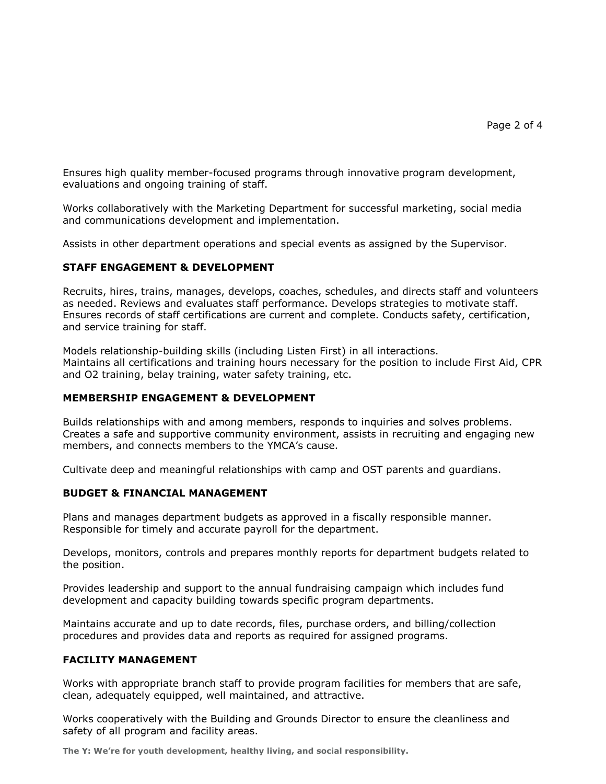Ensures high quality member-focused programs through innovative program development, evaluations and ongoing training of staff.

Works collaboratively with the Marketing Department for successful marketing, social media and communications development and implementation.

Assists in other department operations and special events as assigned by the Supervisor.

#### **STAFF ENGAGEMENT & DEVELOPMENT**

Recruits, hires, trains, manages, develops, coaches, schedules, and directs staff and volunteers as needed. Reviews and evaluates staff performance. Develops strategies to motivate staff. Ensures records of staff certifications are current and complete. Conducts safety, certification, and service training for staff.

Models relationship-building skills (including Listen First) in all interactions. Maintains all certifications and training hours necessary for the position to include First Aid, CPR and O2 training, belay training, water safety training, etc.

#### **MEMBERSHIP ENGAGEMENT & DEVELOPMENT**

Builds relationships with and among members, responds to inquiries and solves problems. Creates a safe and supportive community environment, assists in recruiting and engaging new members, and connects members to the YMCA's cause.

Cultivate deep and meaningful relationships with camp and OST parents and guardians.

### **BUDGET & FINANCIAL MANAGEMENT**

Plans and manages department budgets as approved in a fiscally responsible manner. Responsible for timely and accurate payroll for the department.

Develops, monitors, controls and prepares monthly reports for department budgets related to the position.

Provides leadership and support to the annual fundraising campaign which includes fund development and capacity building towards specific program departments.

Maintains accurate and up to date records, files, purchase orders, and billing/collection procedures and provides data and reports as required for assigned programs.

#### **FACILITY MANAGEMENT**

Works with appropriate branch staff to provide program facilities for members that are safe, clean, adequately equipped, well maintained, and attractive.

Works cooperatively with the Building and Grounds Director to ensure the cleanliness and safety of all program and facility areas.

**The Y: We're for youth development, healthy living, and social responsibility.**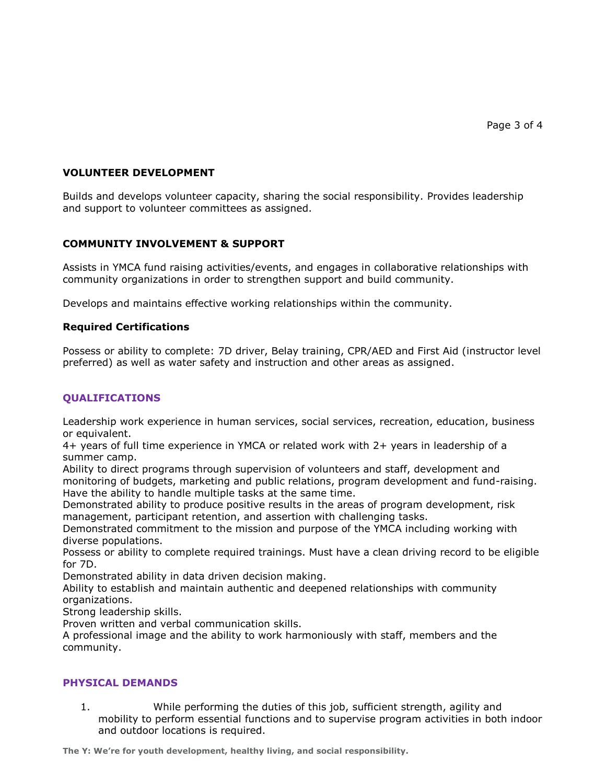# **VOLUNTEER DEVELOPMENT**

Builds and develops volunteer capacity, sharing the social responsibility. Provides leadership and support to volunteer committees as assigned.

# **COMMUNITY INVOLVEMENT & SUPPORT**

Assists in YMCA fund raising activities/events, and engages in collaborative relationships with community organizations in order to strengthen support and build community.

Develops and maintains effective working relationships within the community.

## **Required Certifications**

Possess or ability to complete: 7D driver, Belay training, CPR/AED and First Aid (instructor level preferred) as well as water safety and instruction and other areas as assigned.

# **QUALIFICATIONS**

Leadership work experience in human services, social services, recreation, education, business or equivalent.

4+ years of full time experience in YMCA or related work with 2+ years in leadership of a summer camp.

Ability to direct programs through supervision of volunteers and staff, development and monitoring of budgets, marketing and public relations, program development and fund-raising. Have the ability to handle multiple tasks at the same time.

Demonstrated ability to produce positive results in the areas of program development, risk management, participant retention, and assertion with challenging tasks.

Demonstrated commitment to the mission and purpose of the YMCA including working with diverse populations.

Possess or ability to complete required trainings. Must have a clean driving record to be eligible for 7D.

Demonstrated ability in data driven decision making.

Ability to establish and maintain authentic and deepened relationships with community organizations.

Strong leadership skills.

Proven written and verbal communication skills.

A professional image and the ability to work harmoniously with staff, members and the community.

## **PHYSICAL DEMANDS**

1. While performing the duties of this job, sufficient strength, agility and mobility to perform essential functions and to supervise program activities in both indoor and outdoor locations is required.

**The Y: We're for youth development, healthy living, and social responsibility.**